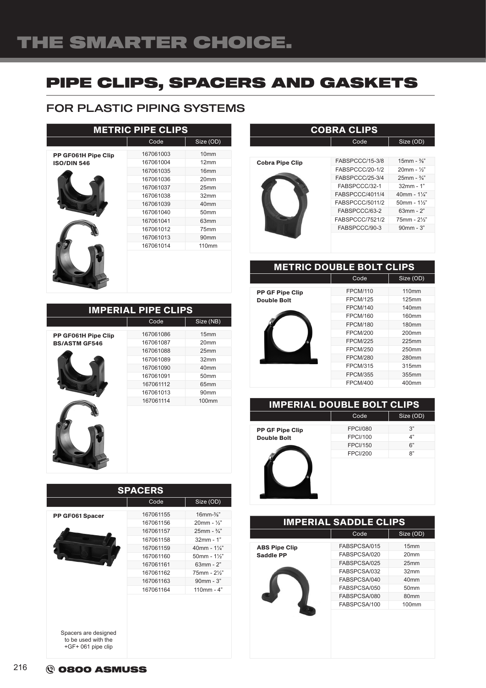# PIPE CLIPS, SPACERS AND GASKETS

### FOR PLASTIC PIPING SYSTEMS

| <b>METRIC PIPE CLIPS</b>                  |                                                                                                                                                          |                                                                                                                                                                  |  |
|-------------------------------------------|----------------------------------------------------------------------------------------------------------------------------------------------------------|------------------------------------------------------------------------------------------------------------------------------------------------------------------|--|
|                                           | Code                                                                                                                                                     | Size (OD)                                                                                                                                                        |  |
| PP GF061H Pipe Clip<br><b>ISO/DIN 546</b> | 167061003<br>167061004<br>167061035<br>167061036<br>167061037<br>167061038<br>167061039<br>167061040<br>167061041<br>167061012<br>167061013<br>167061014 | 10 <sub>mm</sub><br>12mm<br>16 <sub>mm</sub><br>20mm<br>25mm<br>32mm<br>40 <sub>mm</sub><br>50 <sub>mm</sub><br>63mm<br>75mm<br>90 <sub>mm</sub><br><b>110mm</b> |  |
|                                           |                                                                                                                                                          |                                                                                                                                                                  |  |
|                                           |                                                                                                                                                          |                                                                                                                                                                  |  |

| <b>IMPERIAL PIPE CLIPS</b> |           |                  |  |
|----------------------------|-----------|------------------|--|
|                            | Code      | Size (NB)        |  |
| PP GF061H Pipe Clip        | 167061086 | 15mm             |  |
| <b>BS/ASTM GF546</b>       | 167061087 | 20 <sub>mm</sub> |  |
|                            | 167061088 | 25mm             |  |
|                            | 167061089 | 32mm             |  |
|                            | 167061090 | 40 <sub>mm</sub> |  |
|                            | 167061091 | 50 <sub>mm</sub> |  |
|                            | 167061112 | 65 <sub>mm</sub> |  |
|                            | 167061013 | 90 <sub>mm</sub> |  |
|                            | 167061114 | <b>100mm</b>     |  |
|                            |           |                  |  |

| <b>SPACERS</b>                            |           |                            |  |
|-------------------------------------------|-----------|----------------------------|--|
|                                           | Code      | Size (OD)                  |  |
| PP GF061 Spacer                           | 167061155 | $16$ mm- $\frac{3}{8}$ "   |  |
|                                           | 167061156 | $20mm - \frac{1}{2}$       |  |
|                                           | 167061157 | $25$ mm - $\frac{3}{4}$ "  |  |
|                                           | 167061158 | $32mm - 1"$                |  |
|                                           | 167061159 | 40mm - $1\frac{1}{4}$ "    |  |
|                                           | 167061160 | $50$ mm - $1\frac{1}{2}$ " |  |
|                                           | 167061161 | $63mm - 2"$                |  |
|                                           | 167061162 | 75mm - 21/2"               |  |
|                                           | 167061163 | 90mm - 3"                  |  |
|                                           | 167061164 | $110mm - 4"$               |  |
| Spacers are designed                      |           |                            |  |
| to be used with the<br>+GF+ 061 pipe clip |           |                            |  |

#### **COBRA CLIPS**  $\overline{\text{Size (OD)}}$

| <b>Cobra Pipe Clip</b> | FABSPCCC/15-3/8 | $15$ mm - $\frac{3}{8}$ " |
|------------------------|-----------------|---------------------------|
|                        | FABSPCCC/20-1/2 | $20mm - \frac{1}{2}$      |
|                        | FABSPCCC/25-3/4 | $25mm - \frac{3}{4}$      |
|                        | FABSPCCC/32-1   | $32mm - 1"$               |
|                        | FABSPCCC/4011/4 | 40mm - $1\frac{1}{4}$ "   |
|                        | FABSPCCC/5011/2 | $50mm - 1\frac{1}{3}$     |
|                        | FABSPCCC/63-2   | $63mm - 2"$               |
|                        | FABSPCCC/7521/2 | 75mm - 21/2"              |
|                        | FABSPCCC/90-3   | $90mm - 3"$               |
|                        |                 |                           |

#### METRIC DOUBLE BOLT CLIPS

PP GF Pipe Clip

| <b>Double Bolt</b> |
|--------------------|
|                    |

| <b>FPCM/110</b> | <b>110mm</b> |
|-----------------|--------------|
| <b>FPCM/125</b> | 125mm        |
| <b>FPCM/140</b> | <b>140mm</b> |
| <b>FPCM/160</b> | 160mm        |
| <b>FPCM/180</b> | 180mm        |
| <b>FPCM/200</b> | $200$ mm     |
| <b>FPCM/225</b> | $225$ mm     |
| <b>FPCM/250</b> | 250mm        |
| <b>FPCM/280</b> | 280mm        |
| <b>FPCM/315</b> | 315mm        |
| <b>FPCM/355</b> | 355mm        |
| <b>FPCM/400</b> | 400mm        |
|                 |              |

 $Size (OD)$ 

Code Size (OD)

#### IMPERIAL DOUBLE BOLT CLIPS

|                        | Code            | Size ( |
|------------------------|-----------------|--------|
| <b>PP GF Pipe Clip</b> | <b>FPCI/080</b> | 3"     |
| <b>Double Bolt</b>     | <b>FPCI/100</b> | 4"     |
|                        | <b>FPCI/150</b> | 6"     |
|                        | <b>FPCI/200</b> | 8"     |
|                        |                 |        |

| <b>IMPERIAL SADDLE CLIPS</b> |              |                   |  |
|------------------------------|--------------|-------------------|--|
|                              | Code         | Size (OD)         |  |
| <b>ABS Pipe Clip</b>         | FABSPCSA/015 | 15mm              |  |
| Saddle PP                    | FABSPCSA/020 | 20 <sub>mm</sub>  |  |
|                              | FABSPCSA/025 | 25 <sub>mm</sub>  |  |
|                              | FABSPCSA/032 | 32mm              |  |
|                              | FABSPCSA/040 | 40mm              |  |
|                              | FABSPCSA/050 | 50mm              |  |
|                              | FABSPCSA/080 | 80 <sub>mm</sub>  |  |
|                              | FABSPCSA/100 | 100 <sub>mm</sub> |  |
|                              |              |                   |  |